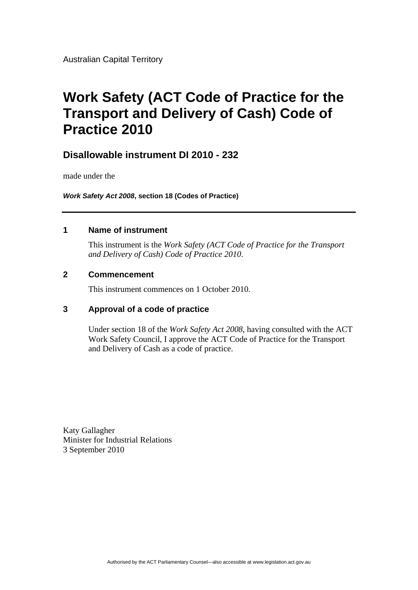# **Work Safety (ACT Code of Practice for the Transport and Delivery of Cash) Code of Practice 2010**

### **Disallowable instrument DI 2010 - 232**

made under the

*Work Safety Act 2008***, section 18 (Codes of Practice)** 

#### **1 Name of instrument**

This instrument is the *Work Safety (ACT Code of Practice for the Transport and Delivery of Cash) Code of Practice 2010*.

#### **2 Commencement**

This instrument commences on 1 October 2010.

### **3 Approval of a code of practice**

Under section 18 of the *Work Safety Act 2008*, having consulted with the ACT Work Safety Council, I approve the ACT Code of Practice for the Transport and Delivery of Cash as a code of practice.

Katy Gallagher Minister for Industrial Relations 3 September 2010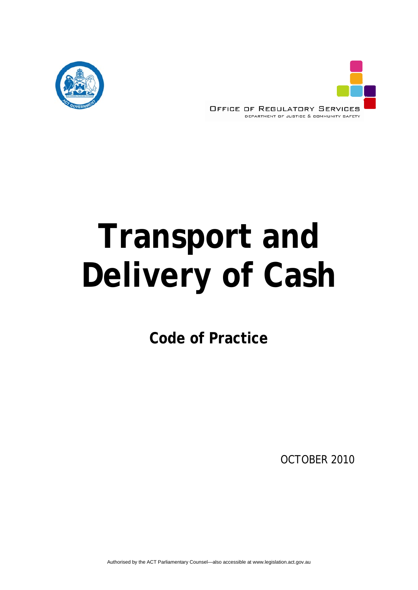



# **Transport and Delivery of Cash**

**Code of Practice** 

OCTOBER 2010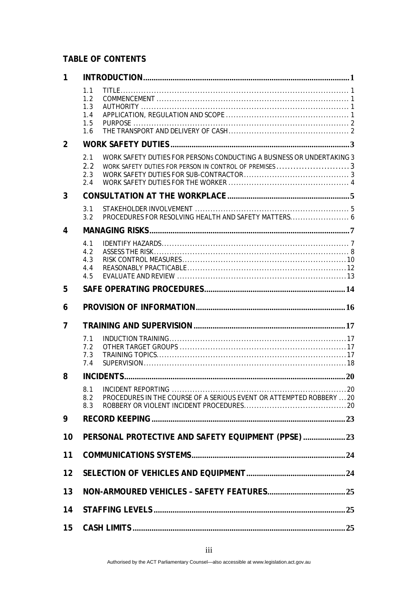### **TABLE OF CONTENTS**

| 1  |                                                 |                                                                                                                                 |  |
|----|-------------------------------------------------|---------------------------------------------------------------------------------------------------------------------------------|--|
|    | 1.1<br>1.2<br>1.3<br>1.4<br>1.5<br>1.6          |                                                                                                                                 |  |
| 2  |                                                 |                                                                                                                                 |  |
|    | 2.1<br>2.2<br>2.3<br>2.4                        | WORK SAFETY DUTIES FOR PERSONS CONDUCTING A BUSINESS OR UNDERTAKING 3<br>WORK SAFETY DUTIES FOR PERSON IN CONTROL OF PREMISES 3 |  |
| 3  |                                                 |                                                                                                                                 |  |
|    | 3.1<br>3.2                                      | PROCEDURES FOR RESOLVING HEALTH AND SAFETY MATTERS 6                                                                            |  |
| 4  |                                                 |                                                                                                                                 |  |
|    | 4.1<br>4.2<br>4.3<br>4.4<br>4.5                 |                                                                                                                                 |  |
| 5  |                                                 |                                                                                                                                 |  |
| 6  |                                                 |                                                                                                                                 |  |
| 7  |                                                 |                                                                                                                                 |  |
|    | 7.1<br>7.2<br>7.3<br>7.4                        |                                                                                                                                 |  |
| 8  |                                                 |                                                                                                                                 |  |
|    | 8.1<br>8.2<br>8.3                               | PROCEDURES IN THE COURSE OF A SERIOUS EVENT OR ATTEMPTED ROBBERY  20                                                            |  |
| 9  |                                                 |                                                                                                                                 |  |
| 10 | PERSONAL PROTECTIVE AND SAFETY EQUIPMENT (PPSE) |                                                                                                                                 |  |
| 11 |                                                 |                                                                                                                                 |  |
| 12 |                                                 |                                                                                                                                 |  |
| 13 |                                                 |                                                                                                                                 |  |
| 14 |                                                 |                                                                                                                                 |  |
| 15 |                                                 |                                                                                                                                 |  |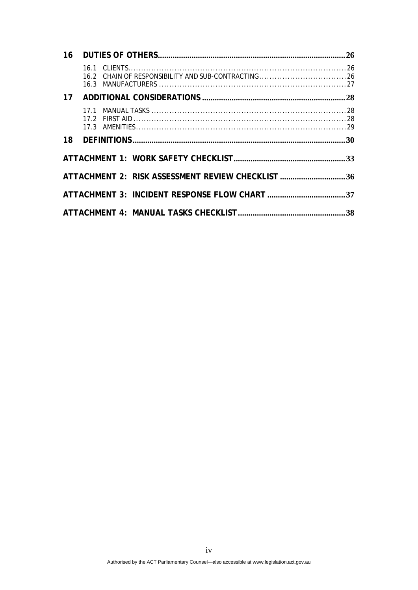| 16.2 CHAIN OF RESPONSIBILITY AND SUB-CONTRACTING26 |  |
|----------------------------------------------------|--|
|                                                    |  |
|                                                    |  |
|                                                    |  |
|                                                    |  |
| ATTACHMENT 2: RISK ASSESSMENT REVIEW CHECKLIST 36  |  |
|                                                    |  |
|                                                    |  |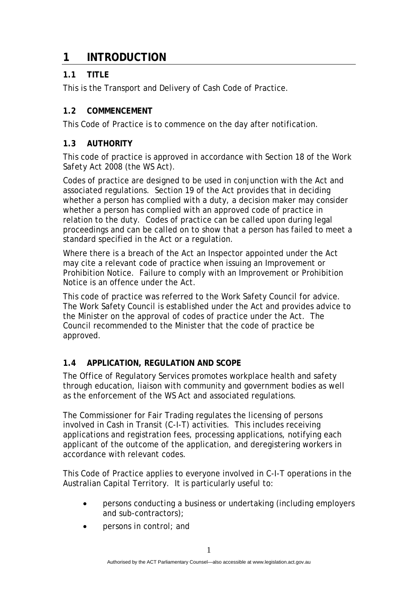### **1 INTRODUCTION**

### **1.1 TITLE**

This is the Transport and Delivery of Cash Code of Practice.

### **1.2 COMMENCEMENT**

This Code of Practice is to commence on the day after notification.

### **1.3 AUTHORITY**

This code of practice is approved in accordance with Section 18 of the *Work Safety Act 2008* (the WS Act).

Codes of practice are designed to be used in conjunction with the Act and associated regulations. Section 19 of the Act provides that in deciding whether a person has complied with a duty, a decision maker may consider whether a person has complied with an approved code of practice in relation to the duty. Codes of practice can be called upon during legal proceedings and can be called on to show that a person has failed to meet a standard specified in the Act or a regulation.

Where there is a breach of the Act an Inspector appointed under the Act may cite a relevant code of practice when issuing an Improvement or Prohibition Notice. Failure to comply with an Improvement or Prohibition Notice is an offence under the Act.

This code of practice was referred to the Work Safety Council for advice. The Work Safety Council is established under the Act and provides advice to the Minister on the approval of codes of practice under the Act. The Council recommended to the Minister that the code of practice be approved.

### **1.4 APPLICATION, REGULATION AND SCOPE**

The Office of Regulatory Services promotes workplace health and safety through education, liaison with community and government bodies as well as the enforcement of the WS Act and associated regulations.

The Commissioner for Fair Trading regulates the licensing of persons involved in Cash in Transit (C-I-T) activities. This includes receiving applications and registration fees, processing applications, notifying each applicant of the outcome of the application, and deregistering workers in accordance with relevant codes.

This Code of Practice applies to everyone involved in C-I-T operations in the Australian Capital Territory. It is particularly useful to:

- persons conducting a business or undertaking (including employers and sub-contractors);
- persons in control; and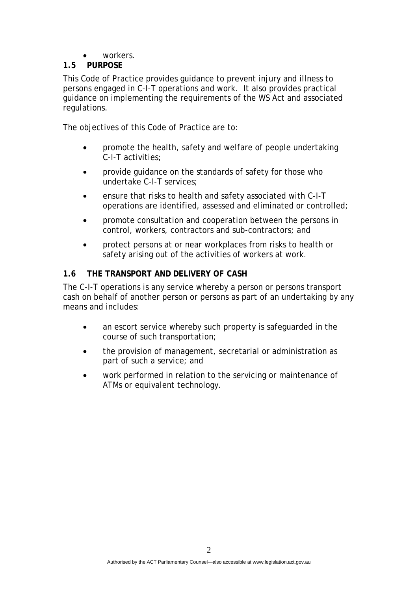• workers.

### **1.5 PURPOSE**

This Code of Practice provides guidance to prevent injury and illness to persons engaged in C-I-T operations and work. It also provides practical guidance on implementing the requirements of the WS Act and associated regulations.

The objectives of this Code of Practice are to:

- promote the health, safety and welfare of people undertaking C-I-T activities;
- provide guidance on the standards of safety for those who undertake C-I-T services;
- ensure that risks to health and safety associated with C-I-T operations are identified, assessed and eliminated or controlled;
- promote consultation and cooperation between the persons in control, workers, contractors and sub-contractors; and
- protect persons at or near workplaces from risks to health or safety arising out of the activities of workers at work.

### **1.6 THE TRANSPORT AND DELIVERY OF CASH**

The C-I-T operations is any service whereby a person or persons transport cash on behalf of another person or persons as part of an undertaking by any means and includes:

- an escort service whereby such property is safeguarded in the course of such transportation;
- the provision of management, secretarial or administration as part of such a service; and
- work performed in relation to the servicing or maintenance of ATMs or equivalent technology.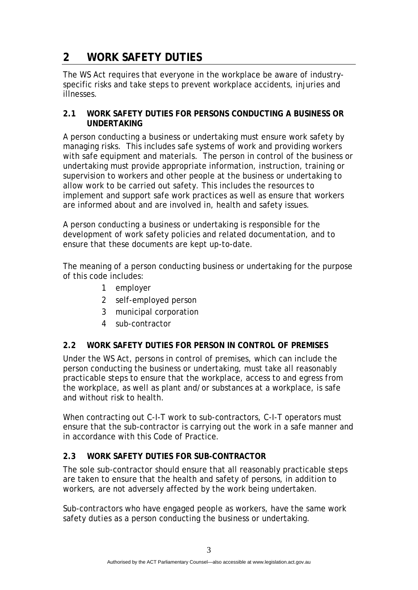## **2 WORK SAFETY DUTIES**

The WS Act requires that everyone in the workplace be aware of industryspecific risks and take steps to prevent workplace accidents, injuries and illnesses.

### **2.1 WORK SAFETY DUTIES FOR PERSONS CONDUCTING A BUSINESS OR UNDERTAKING**

A person conducting a business or undertaking must ensure work safety by managing risks. This includes safe systems of work and providing workers with safe equipment and materials. The person in control of the business or undertaking must provide appropriate information, instruction, training or supervision to workers and other people at the business or undertaking to allow work to be carried out safety. This includes the resources to implement and support safe work practices as well as ensure that workers are informed about and are involved in, health and safety issues.

A person conducting a business or undertaking is responsible for the development of work safety policies and related documentation, and to ensure that these documents are kept up-to-date.

The meaning of a person conducting business or undertaking for the purpose of this code includes:

- 1 employer
- 2 self-employed person
- 3 municipal corporation
- 4 sub-contractor

### **2.2 WORK SAFETY DUTIES FOR PERSON IN CONTROL OF PREMISES**

Under the WS Act, persons in control of premises, which can include the person conducting the business or undertaking, must take all reasonably practicable steps to ensure that the workplace, access to and egress from the workplace, as well as plant and/or substances at a workplace, is safe and without risk to health.

When contracting out C-I-T work to sub-contractors, C-I-T operators must ensure that the sub-contractor is carrying out the work in a safe manner and in accordance with this Code of Practice.

### **2.3 WORK SAFETY DUTIES FOR SUB-CONTRACTOR**

The sole sub-contractor should ensure that all reasonably practicable steps are taken to ensure that the health and safety of persons, in addition to workers, are not adversely affected by the work being undertaken.

Sub-contractors who have engaged people as workers, have the same work safety duties as a person conducting the business or undertaking.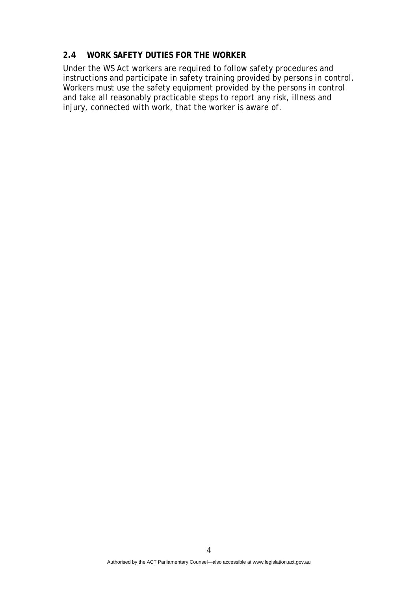#### **2.4 WORK SAFETY DUTIES FOR THE WORKER**

Under the WS Act workers are required to follow safety procedures and instructions and participate in safety training provided by persons in control. Workers must use the safety equipment provided by the persons in control and take all reasonably practicable steps to report any risk, illness and injury, connected with work, that the worker is aware of.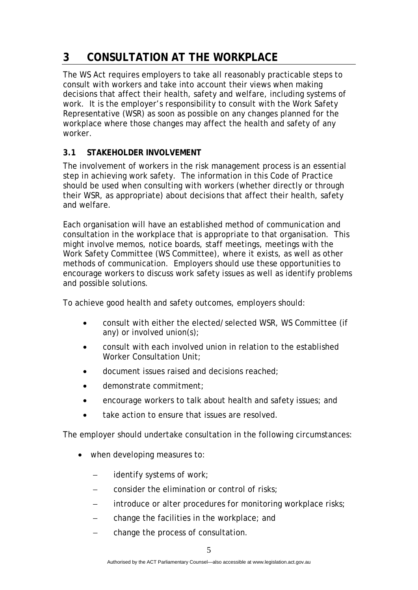# **3 CONSULTATION AT THE WORKPLACE**

The WS Act requires employers to take all reasonably practicable steps to consult with workers and take into account their views when making decisions that affect their health, safety and welfare, including systems of work.It is the employer's responsibility to consult with the Work Safety Representative (WSR) as soon as possible on any changes planned for the workplace where those changes may affect the health and safety of any worker.

### **3.1 STAKEHOLDER INVOLVEMENT**

The involvement of workers in the risk management process is an essential step in achieving work safety. The information in this Code of Practice should be used when consulting with workers (whether directly or through their WSR, as appropriate) about decisions that affect their health, safety and welfare.

Each organisation will have an established method of communication and consultation in the workplace that is appropriate to that organisation. This might involve memos, notice boards, staff meetings, meetings with the Work Safety Committee (WS Committee), where it exists, as well as other methods of communication. Employers should use these opportunities to encourage workers to discuss work safety issues as well as identify problems and possible solutions.

To achieve good health and safety outcomes, employers should:

- consult with either the elected/selected WSR, WS Committee (if any) or involved union(s);
- consult with each involved union in relation to the established Worker Consultation Unit;
- document issues raised and decisions reached;
- demonstrate commitment;
- encourage workers to talk about health and safety issues; and
- take action to ensure that issues are resolved.

The employer should undertake consultation in the following circumstances:

- when developing measures to:
	- identify systems of work;
	- − consider the elimination or control of risks;
	- introduce or alter procedures for monitoring workplace risks;
	- − change the facilities in the workplace; and
	- change the process of consultation.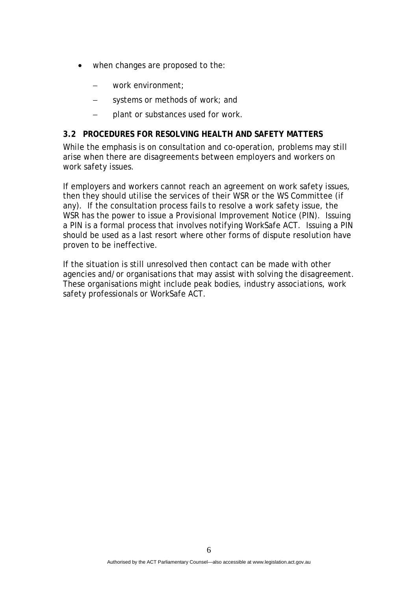- when changes are proposed to the:
	- − work environment;
	- systems or methods of work; and
	- − plant or substances used for work.

### **3.2 PROCEDURES FOR RESOLVING HEALTH AND SAFETY MATTERS**

While the emphasis is on consultation and co-operation, problems may still arise when there are disagreements between employers and workers on work safety issues.

If employers and workers cannot reach an agreement on work safety issues, then they should utilise the services of their WSR or the WS Committee (if any). If the consultation process fails to resolve a work safety issue, the WSR has the power to issue a Provisional Improvement Notice (PIN). Issuing a PIN is a formal process that involves notifying WorkSafe ACT. Issuing a PIN should be used as a last resort where other forms of dispute resolution have proven to be ineffective.

If the situation is still unresolved then contact can be made with other agencies and/or organisations that may assist with solving the disagreement. These organisations might include peak bodies, industry associations, work safety professionals or WorkSafe ACT.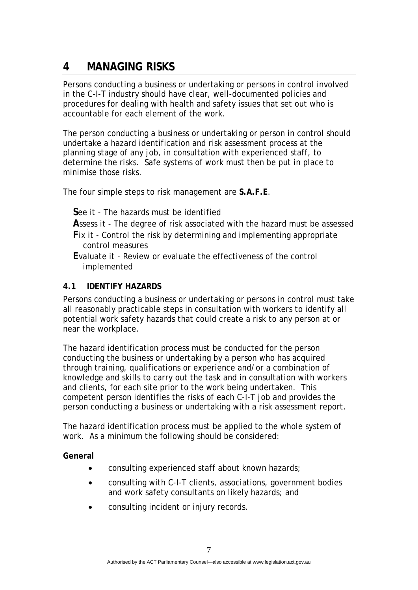# **4 MANAGING RISKS**

Persons conducting a business or undertaking or persons in control involved in the C-I-T industry should have clear, well-documented policies and procedures for dealing with health and safety issues that set out who is accountable for each element of the work.

The person conducting a business or undertaking or person in control should undertake a hazard identification and risk assessment process at the planning stage of any job, in consultation with experienced staff, to determine the risks. Safe systems of work must then be put in place to minimise those risks.

The four simple steps to risk management are **S.A.F.E**.

- **S**ee it The hazards must be identified
- **A**ssess it The degree of risk associated with the hazard must be assessed
- **F**ix it Control the risk by determining and implementing appropriate control measures
- **E**valuate it Review or evaluate the effectiveness of the control implemented

### **4.1 IDENTIFY HAZARDS**

Persons conducting a business or undertaking or persons in control must take all reasonably practicable steps in consultation with workers to identify all potential work safety hazards that could create a risk to any person at or near the workplace.

The hazard identification process must be conducted for the person conducting the business or undertaking by a person who has acquired through training, qualifications or experience and/or a combination of knowledge and skills to carry out the task and in consultation with workers and clients, for each site prior to the work being undertaken. This competent person identifies the risks of each C-I-T job and provides the person conducting a business or undertaking with a risk assessment report.

The hazard identification process must be applied to the whole system of work. As a minimum the following should be considered:

### **General**

- consulting experienced staff about known hazards;
- consulting with C-I-T clients, associations, government bodies and work safety consultants on likely hazards; and
- consulting incident or injury records.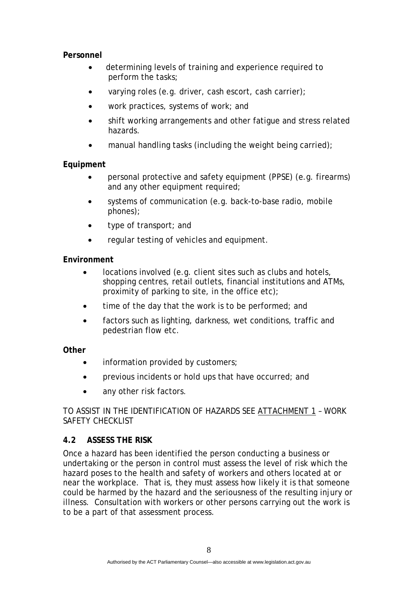### **Personnel**

- determining levels of training and experience required to perform the tasks;
- varying roles (e.g. driver, cash escort, cash carrier);
- work practices, systems of work; and
- shift working arrangements and other fatigue and stress related hazards.
- manual handling tasks (including the weight being carried);

### **Equipment**

- personal protective and safety equipment (PPSE) (e.g. firearms) and any other equipment required;
- systems of communication (e.g. back-to-base radio, mobile phones);
- type of transport; and
- regular testing of vehicles and equipment.

### **Environment**

- locations involved (e.g. client sites such as clubs and hotels, shopping centres, retail outlets, financial institutions and ATMs, proximity of parking to site, in the office etc);
- time of the day that the work is to be performed; and
- factors such as lighting, darkness, wet conditions, traffic and pedestrian flow etc.

### **Other**

- information provided by customers;
- previous incidents or hold ups that have occurred; and
- any other risk factors.

### TO ASSIST IN THE IDENTIFICATION OF HAZARDS SEE ATTACHMENT 1 – WORK SAFETY CHECKLIST

### **4.2 ASSESS THE RISK**

Once a hazard has been identified the person conducting a business or undertaking or the person in control must assess the level of risk which the hazard poses to the health and safety of workers and others located at or near the workplace. That is, they must assess how likely it is that someone could be harmed by the hazard and the seriousness of the resulting injury or illness. Consultation with workers or other persons carrying out the work is to be a part of that assessment process.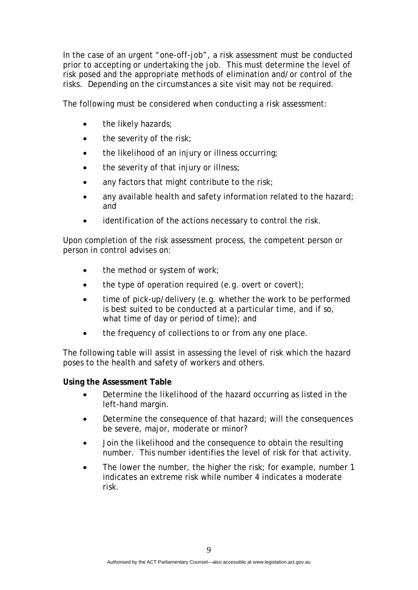In the case of an urgent "one-off-job", a risk assessment must be conducted prior to accepting or undertaking the job. This must determine the level of risk posed and the appropriate methods of elimination and/or control of the risks. Depending on the circumstances a site visit may not be required.

The following must be considered when conducting a risk assessment:

- the likely hazards;
- the severity of the risk;
- the likelihood of an injury or illness occurring;
- the severity of that injury or illness:
- any factors that might contribute to the risk;
- any available health and safety information related to the hazard; and
- identification of the actions necessary to control the risk.

Upon completion of the risk assessment process, the competent person or person in control advises on:

- the method or system of work;
- the type of operation required (e.g. overt or covert);
- time of pick-up/delivery (e.g. whether the work to be performed is best suited to be conducted at a particular time, and if so, what time of day or period of time); and
- the frequency of collections to or from any one place.

The following table will assist in assessing the level of risk which the hazard poses to the health and safety of workers and others.

**Using the Assessment Table** 

- Determine the *likelihood* of the hazard occurring as listed in the left-hand margin.
- Determine the *consequence* of that hazard; will the consequences be severe, major, moderate or minor?
- Join the *likelihood* and the *consequence* to obtain the resulting number. This number identifies the level of risk for that activity.
- The lower the number, the higher the risk; for example, number 1 indicates an extreme risk while number 4 indicates a moderate risk.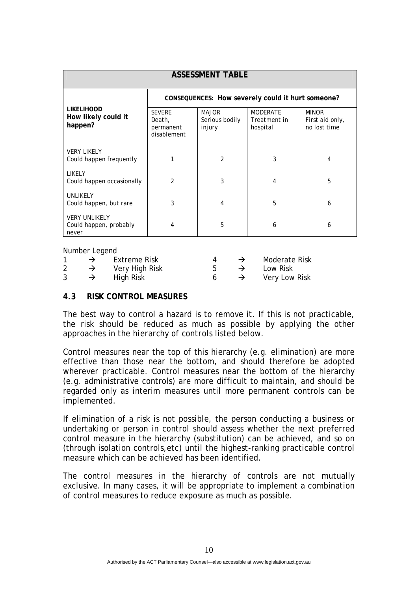| <b>ASSESSMENT TABLE</b>                                 |                                                     |                                          |                                             |                                                 |  |
|---------------------------------------------------------|-----------------------------------------------------|------------------------------------------|---------------------------------------------|-------------------------------------------------|--|
|                                                         | CONSEQUENCES: How severely could it hurt someone?   |                                          |                                             |                                                 |  |
| <b>LIKELIHOOD</b><br>How likely could it<br>happen?     | <b>SEVERE</b><br>Death,<br>permanent<br>disablement | <b>MAJOR</b><br>Serious bodily<br>injury | <b>MODERATE</b><br>Treatment in<br>hospital | <b>MINOR</b><br>First aid only,<br>no lost time |  |
| <b>VERY LIKELY</b><br>Could happen frequently           | 1                                                   | $\mathfrak{p}$                           | 3                                           | 4                                               |  |
| LIKELY<br>Could happen occasionally                     | $\overline{2}$                                      | 3                                        | 4                                           | 5                                               |  |
| UNLIKELY<br>Could happen, but rare                      | 3                                                   | 4                                        | 5                                           | 6                                               |  |
| <b>VERY UNLIKELY</b><br>Could happen, probably<br>never | 4                                                   | 5                                        | 6                                           | 6                                               |  |

Number Legend

|  |  | Extreme Risk   |  |  | <b>Moderate Risk</b> |
|--|--|----------------|--|--|----------------------|
|  |  | Very High Risk |  |  | Low Risk             |
|  |  | High Risk      |  |  | Very Low Risk        |

### **4.3 RISK CONTROL MEASURES**

The best way to control a hazard is to remove it. If this is not practicable, the risk should be reduced as much as possible by applying the other approaches in the *hierarchy of controls* listed below.

Control measures near the top of this hierarchy (e.g. elimination) are more effective than those near the bottom, and should therefore be adopted wherever practicable. Control measures near the bottom of the hierarchy (e.g. administrative controls) are more difficult to maintain, and should be regarded only as interim measures until more permanent controls can be implemented.

If elimination of a risk is not possible, the person conducting a business or undertaking or person in control should assess whether the next preferred control measure in the hierarchy (substitution) can be achieved, and so on (through isolation controls,etc) until the highest-ranking practicable control measure which can be achieved has been identified.

The control measures in the hierarchy of controls are not mutually exclusive. In many cases, it will be appropriate to implement a combination of control measures to reduce exposure as much as possible.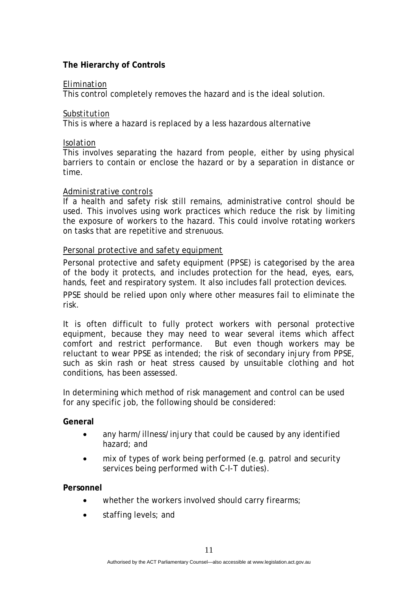### **The Hierarchy of Controls**

### *Elimination*

This control completely removes the hazard and is the ideal solution.

### *Substitution*

This is where a hazard is replaced by a less hazardous alternative

### *Isolation*

This involves separating the hazard from people, either by using physical barriers to contain or enclose the hazard or by a separation in distance or time.

### *Administrative controls*

If a health and safety risk still remains, administrative control should be used. This involves using work practices which reduce the risk by limiting the exposure of workers to the hazard. This could involve rotating workers on tasks that are repetitive and strenuous.

### *Personal protective and safety equipment*

Personal protective and safety equipment (PPSE) is categorised by the area of the body it protects, and includes protection for the head, eyes, ears, hands, feet and respiratory system. It also includes fall protection devices.

PPSE should be relied upon only where other measures fail to eliminate the risk.

It is often difficult to fully protect workers with personal protective equipment, because they may need to wear several items which affect comfort and restrict performance. But even though workers may be reluctant to wear PPSE as intended; the risk of secondary injury from PPSE, such as skin rash or heat stress caused by unsuitable clothing and hot conditions, has been assessed.

In determining which method of risk management and control can be used for any specific job, the following should be considered:

### **General**

- any harm/illness/injury that could be caused by any identified hazard; and
- mix of types of work being performed (e.g. patrol and security services being performed with C-I-T duties).

**Personnel** 

- whether the workers involved should carry firearms;
- staffing levels; and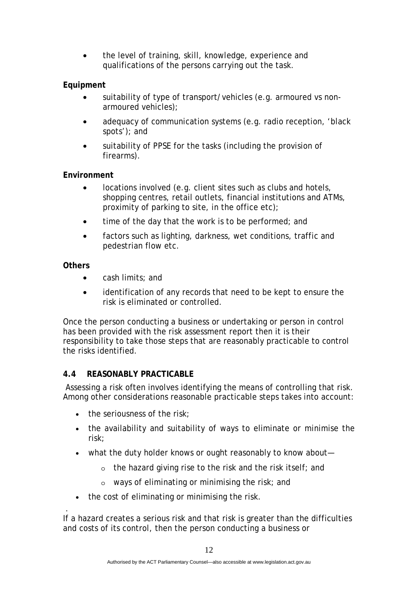• the level of training, skill, knowledge, experience and qualifications of the persons carrying out the task.

### **Equipment**

- suitability of type of transport/vehicles (e.g. armoured vs nonarmoured vehicles);
- adequacy of communication systems (e.g. radio reception, 'black spots'); and
- suitability of PPSE for the tasks (including the provision of firearms).

### **Environment**

- locations involved (e.g. client sites such as clubs and hotels, shopping centres, retail outlets, financial institutions and ATMs, proximity of parking to site, in the office etc);
- time of the day that the work is to be performed; and
- factors such as lighting, darkness, wet conditions, traffic and pedestrian flow etc.

### **Others**

- cash limits; and
- identification of any records that need to be kept to ensure the risk is eliminated or controlled.

Once the person conducting a business or undertaking or person in control has been provided with the risk assessment report then it is their responsibility to take those steps that are reasonably practicable to control the risks identified.

### **4.4 REASONABLY PRACTICABLE**

 Assessing a risk often involves identifying the means of controlling that risk. Among other considerations reasonable practicable steps takes into account:

- $\bullet$  the seriousness of the risk:
- the availability and suitability of ways to eliminate or minimise the risk;
- what the duty holder knows or ought reasonably to know about
	- o the hazard giving rise to the risk and the risk itself; and
	- o ways of eliminating or minimising the risk; and
- the cost of eliminating or minimising the risk.

 . If a hazard creates a serious risk and that risk is greater than the difficulties and costs of its control, then the person conducting a business or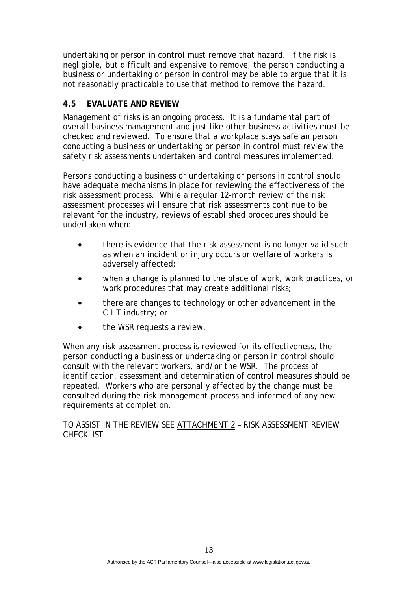undertaking or person in control must remove that hazard. If the risk is negligible, but difficult and expensive to remove, the person conducting a business or undertaking or person in control may be able to argue that it is not reasonably practicable to use that method to remove the hazard.

### **4.5 EVALUATE AND REVIEW**

Management of risks is an ongoing process. It is a fundamental part of overall business management and just like other business activities must be checked and reviewed. To ensure that a workplace stays safe an person conducting a business or undertaking or person in control must review the safety risk assessments undertaken and control measures implemented.

Persons conducting a business or undertaking or persons in control should have adequate mechanisms in place for reviewing the effectiveness of the risk assessment process. While a regular 12-month review of the risk assessment processes will ensure that risk assessments continue to be relevant for the industry, reviews of established procedures should be undertaken when:

- there is evidence that the risk assessment is no longer valid such as when an incident or injury occurs or welfare of workers is adversely affected;
- when a change is planned to the place of work, work practices, or work procedures that may create additional risks;
- there are changes to technology or other advancement in the C-I-T industry; or
- the WSR requests a review.

When any risk assessment process is reviewed for its effectiveness, the person conducting a business or undertaking or person in control should consult with the relevant workers, and/or the WSR. The process of identification, assessment and determination of control measures should be repeated. Workers who are personally affected by the change must be consulted during the risk management process and informed of any new requirements at completion.

### TO ASSIST IN THE REVIEW SEE ATTACHMENT 2 – RISK ASSESSMENT REVIEW CHECKLIST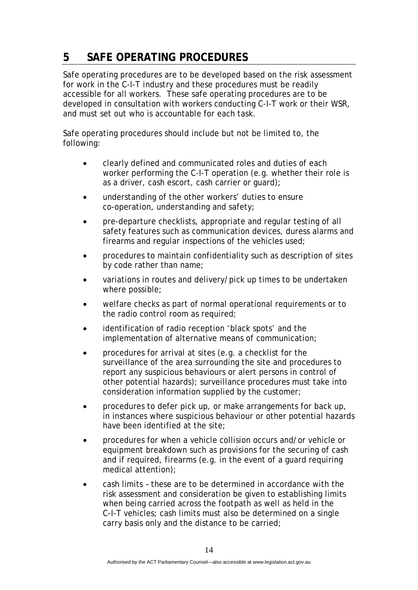# **5 SAFE OPERATING PROCEDURES**

Safe operating procedures are to be developed based on the risk assessment for work in the C-I-T industry and these procedures must be readily accessible for all workers. These safe operating procedures are to be developed in consultation with workers conducting C-I-T work or their WSR, and must set out who is accountable for each task.

Safe operating procedures should include but not be limited to, the following:

- clearly defined and communicated roles and duties of each worker performing the C-I-T operation (e.g. whether their role is as a driver, cash escort, cash carrier or guard);
- understanding of the other workers' duties to ensure co-operation, understanding and safety;
- pre-departure checklists, appropriate and regular testing of all safety features such as communication devices, duress alarms and firearms and regular inspections of the vehicles used;
- procedures to maintain confidentiality such as description of sites by code rather than name;
- variations in routes and delivery/pick up times to be undertaken where possible;
- welfare checks as part of normal operational requirements or to the radio control room as required;
- identification of radio reception 'black spots' and the implementation of alternative means of communication;
- procedures for arrival at sites (e.g. a checklist for the surveillance of the area surrounding the site and procedures to report any suspicious behaviours or alert persons in control of other potential hazards); surveillance procedures must take into consideration information supplied by the customer;
- procedures to defer pick up, or make arrangements for back up, in instances where suspicious behaviour or other potential hazards have been identified at the site;
- procedures for when a vehicle collision occurs and/or vehicle or equipment breakdown such as provisions for the securing of cash and if required, firearms (e.g. in the event of a guard requiring medical attention);
- cash limits these are to be determined in accordance with the risk assessment and consideration be given to establishing limits when being carried across the footpath as well as held in the C-I-T vehicles; cash limits must also be determined on a single carry basis only and the distance to be carried;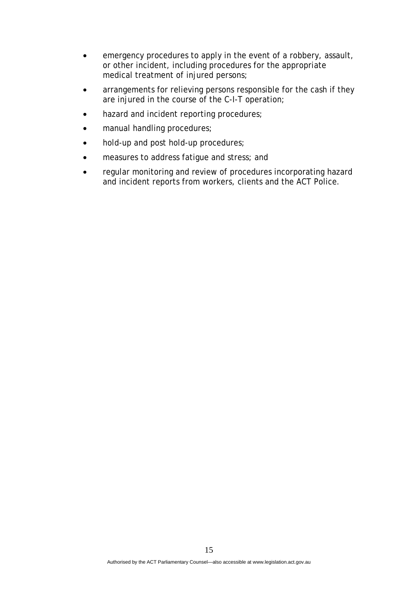- emergency procedures to apply in the event of a robbery, assault, or other incident, including procedures for the appropriate medical treatment of injured persons;
- arrangements for relieving persons responsible for the cash if they are injured in the course of the C-I-T operation;
- hazard and incident reporting procedures;
- manual handling procedures;
- hold-up and post hold-up procedures;
- measures to address fatigue and stress; and
- regular monitoring and review of procedures incorporating hazard and incident reports from workers, clients and the ACT Police.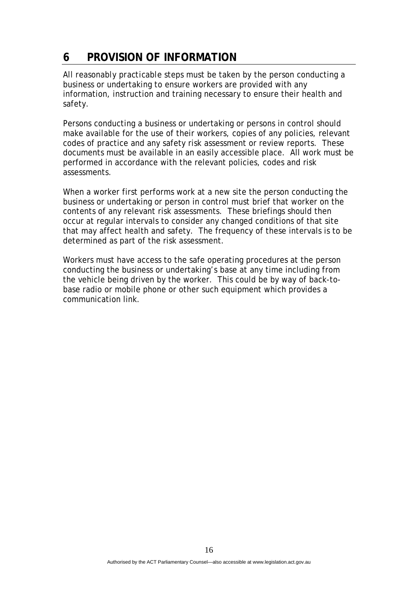# **6 PROVISION OF INFORMATION**

All *reasonably practicable* steps must be taken by the person conducting a business or undertaking to ensure workers are provided with any information, instruction and training necessary to ensure their health and safety.

Persons conducting a business or undertaking or persons in control should make available for the use of their workers, copies of any policies, relevant codes of practice and any safety risk assessment or review reports. These documents must be available in an easily accessible place. All work must be performed in accordance with the relevant policies, codes and risk assessments.

When a worker first performs work at a new site the person conducting the business or undertaking or person in control must brief that worker on the contents of any relevant risk assessments. These briefings should then occur at regular intervals to consider any changed conditions of that site that may affect health and safety. The frequency of these intervals is to be determined as part of the risk assessment.

Workers must have access to the safe operating procedures at the person conducting the business or undertaking's base at any time including from the vehicle being driven by the worker. This could be by way of back-tobase radio or mobile phone or other such equipment which provides a communication link.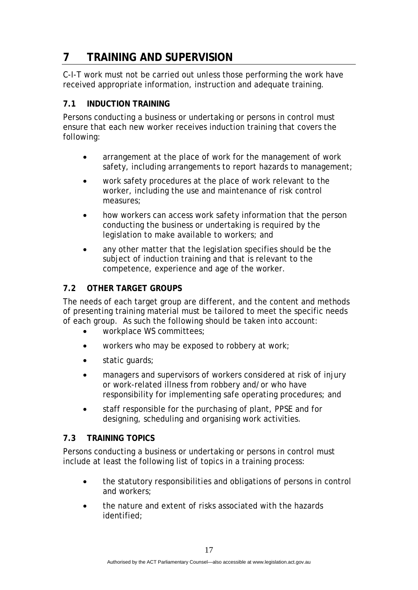# **7 TRAINING AND SUPERVISION**

C-I-T work must not be carried out unless those performing the work have received appropriate information, instruction and adequate training.

### **7.1 INDUCTION TRAINING**

Persons conducting a business or undertaking or persons in control must ensure that each new worker receives induction training that covers the following:

- arrangement at the place of work for the management of work safety, including arrangements to report hazards to management;
- work safety procedures at the place of work relevant to the worker, including the use and maintenance of risk control measures;
- how workers can access work safety information that the person conducting the business or undertaking is required by the legislation to make available to workers; and
- any other matter that the legislation specifies should be the subject of induction training and that is relevant to the competence, experience and age of the worker.

### **7.2 OTHER TARGET GROUPS**

The needs of each target group are different, and the content and methods of presenting training material must be tailored to meet the specific needs of each group. As such the following should be taken into account:

- workplace WS committees;
- workers who may be exposed to robbery at work;
- static guards;
- managers and supervisors of workers considered at risk of injury or work-related illness from robbery and/or who have responsibility for implementing safe operating procedures; and
- staff responsible for the purchasing of plant, PPSE and for designing, scheduling and organising work activities.

### **7.3 TRAINING TOPICS**

Persons conducting a business or undertaking or persons in control must include at least the following list of topics in a training process:

- the statutory responsibilities and obligations of persons in control and workers;
- the nature and extent of risks associated with the hazards identified;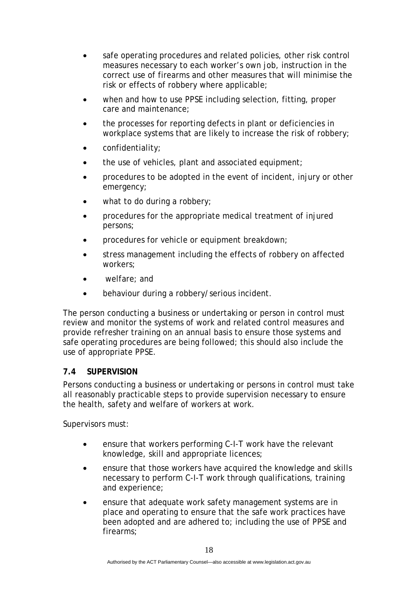- safe operating procedures and related policies, other risk control measures necessary to each worker's own job, instruction in the correct use of firearms and other measures that will minimise the risk or effects of robbery where applicable;
- when and how to use PPSE including selection, fitting, proper care and maintenance;
- the processes for reporting defects in plant or deficiencies in workplace systems that are likely to increase the risk of robbery;
- confidentiality;
- the use of vehicles, plant and associated equipment;
- procedures to be adopted in the event of incident, injury or other emergency;
- what to do during a robbery;
- procedures for the appropriate medical treatment of injured persons;
- procedures for vehicle or equipment breakdown;
- stress management including the effects of robbery on affected workers;
- welfare; and
- behaviour during a robbery/serious incident.

The person conducting a business or undertaking or person in control must review and monitor the systems of work and related control measures and provide refresher training on an annual basis to ensure those systems and safe operating procedures are being followed; this should also include the use of appropriate PPSE.

### **7.4 SUPERVISION**

Persons conducting a business or undertaking or persons in control must take all reasonably practicable steps to provide supervision necessary to ensure the health, safety and welfare of workers at work.

Supervisors must:

- ensure that workers performing C-I-T work have the relevant knowledge, skill and appropriate licences;
- ensure that those workers have acquired the knowledge and skills necessary to perform C-I-T work through qualifications, training and experience;
- ensure that adequate work safety management systems are in place and operating to ensure that the safe work practices have been adopted and are adhered to; including the use of PPSE and firearms;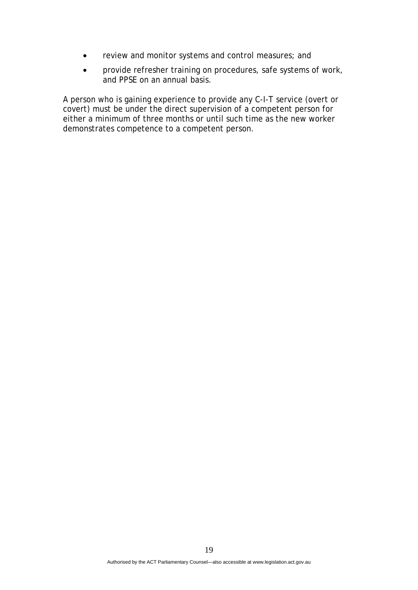- review and monitor systems and control measures; and
- provide refresher training on procedures, safe systems of work, and PPSE on an annual basis.

A person who is gaining experience to provide any C-I-T service (overt or covert) must be under the direct supervision of a competent person for either a minimum of three months or until such time as the new worker demonstrates competence to a competent person.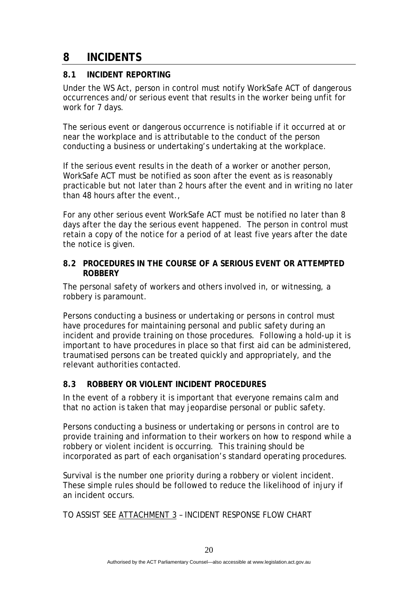### **8 INCIDENTS**

### **8.1 INCIDENT REPORTING**

Under the WS Act, person in control must notify WorkSafe ACT of dangerous occurrences and/or serious event that results in the worker being unfit for work for 7 days.

The serious event or dangerous occurrence is notifiable if it occurred at or near the workplace and is attributable to the conduct of the person conducting a business or undertaking's undertaking at the workplace.

If the serious event results in the death of a worker or another person, WorkSafe ACT must be notified as soon after the event as is reasonably practicable but not later than 2 hours after the event and in writing no later than 48 hours after the event.,

For any other serious event WorkSafe ACT must be notified no later than 8 days after the day the serious event happened. The person in control must retain a copy of the notice for a period of at least five years after the date the notice is given.

#### **8.2 PROCEDURES IN THE COURSE OF A SERIOUS EVENT OR ATTEMPTED ROBBERY**

The personal safety of workers and others involved in, or witnessing, a robbery is paramount.

Persons conducting a business or undertaking or persons in control must have procedures for maintaining personal and public safety during an incident and provide training on those procedures. Following a hold-up it is important to have procedures in place so that first aid can be administered, traumatised persons can be treated quickly and appropriately, and the relevant authorities contacted.

### **8.3 ROBBERY OR VIOLENT INCIDENT PROCEDURES**

In the event of a robbery it is important that everyone remains calm and that no action is taken that may jeopardise personal or public safety.

Persons conducting a business or undertaking or persons in control are to provide training and information to their workers on how to respond while a robbery or violent incident is occurring. This training should be incorporated as part of each organisation's standard operating procedures.

Survival is the number one priority during a robbery or violent incident. These simple rules should be followed to reduce the likelihood of injury if an incident occurs.

TO ASSIST SEE ATTACHMENT 3 – INCIDENT RESPONSE FLOW CHART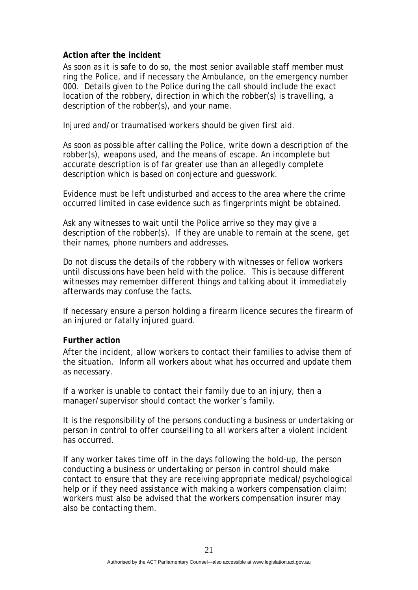#### **Action after the incident**

As soon as it is safe to do so, the most senior available staff member must ring the Police, and if necessary the Ambulance, on the emergency number 000. Details given to the Police during the call should include the exact location of the robbery, direction in which the robber(s) is travelling, a description of the robber(s), and your name.

Injured and/or traumatised workers should be given first aid.

As soon as possible after calling the Police, write down a description of the robber(s), weapons used, and the means of escape. An incomplete but accurate description is of far greater use than an allegedly complete description which is based on conjecture and guesswork.

Evidence must be left undisturbed and access to the area where the crime occurred limited in case evidence such as fingerprints might be obtained.

Ask any witnesses to wait until the Police arrive so they may give a description of the robber(s). If they are unable to remain at the scene, get their names, phone numbers and addresses.

Do not discuss the details of the robbery with witnesses or fellow workers until discussions have been held with the police. This is because different witnesses may remember different things and talking about it immediately afterwards may confuse the facts.

If necessary ensure a person holding a firearm licence secures the firearm of an injured or fatally injured guard.

### **Further action**

After the incident, allow workers to contact their families to advise them of the situation. Inform all workers about what has occurred and update them as necessary.

If a worker is unable to contact their family due to an injury, then a manager/supervisor should contact the worker's family.

It is the responsibility of the persons conducting a business or undertaking or person in control to offer counselling to all workers after a violent incident has occurred.

If any worker takes time off in the days following the hold-up, the person conducting a business or undertaking or person in control should make contact to ensure that they are receiving appropriate medical/psychological help or if they need assistance with making a workers compensation claim; workers must also be advised that the workers compensation insurer may also be contacting them.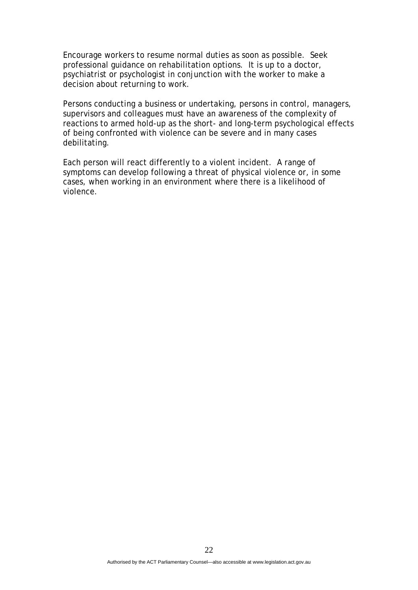Encourage workers to resume normal duties as soon as possible. Seek professional guidance on rehabilitation options. It is up to a doctor, psychiatrist or psychologist in conjunction with the worker to make a decision about returning to work.

Persons conducting a business or undertaking, persons in control, managers, supervisors and colleagues must have an awareness of the complexity of reactions to armed hold-up as the short- and long-term psychological effects of being confronted with violence can be severe and in many cases debilitating.

Each person will react differently to a violent incident. A range of symptoms can develop following a threat of physical violence or, in some cases, when working in an environment where there is a likelihood of violence.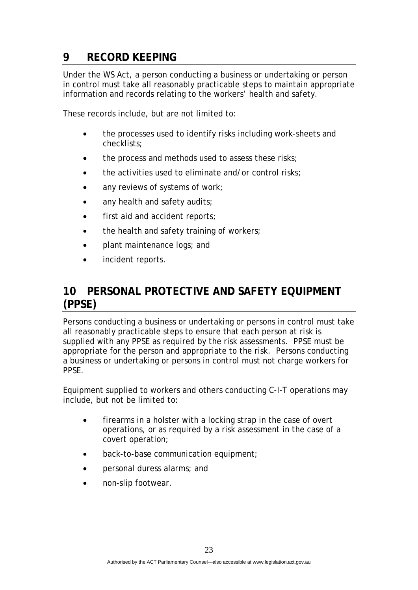# **9 RECORD KEEPING**

Under the WS Act, a person conducting a business or undertaking or person in control must take all reasonably practicable steps to maintain appropriate information and records relating to the workers' health and safety.

These records include, but are not limited to:

- the processes used to identify risks including work-sheets and checklists;
- the process and methods used to assess these risks;
- the activities used to eliminate and/or control risks;
- any reviews of systems of work;
- any health and safety audits;
- first aid and accident reports;
- the health and safety training of workers;
- plant maintenance logs; and
- incident reports.

### **10 PERSONAL PROTECTIVE AND SAFETY EQUIPMENT (PPSE)**

Persons conducting a business or undertaking or persons in control must take all reasonably practicable steps to ensure that each person at risk is supplied with any PPSE as required by the risk assessments. PPSE must be appropriate for the person and appropriate to the risk. Persons conducting a business or undertaking or persons in control must not charge workers for PPSE.

Equipment supplied to workers and others conducting C-I-T operations may include, but not be limited to:

- firearms in a holster with a locking strap in the case of overt operations, or as required by a risk assessment in the case of a covert operation;
- back-to-base communication equipment;
- personal duress alarms; and
- non-slip footwear.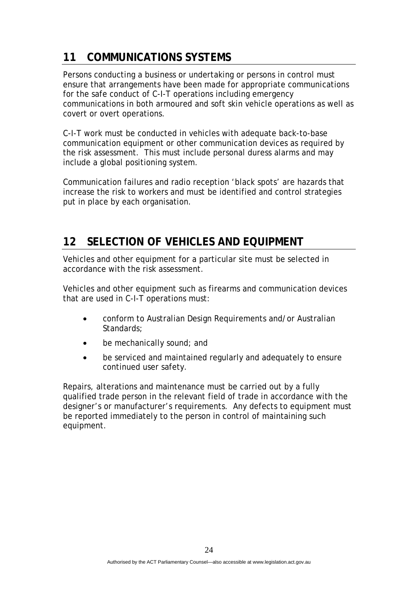# **11 COMMUNICATIONS SYSTEMS**

Persons conducting a business or undertaking or persons in control must ensure that arrangements have been made for appropriate communications for the safe conduct of C-I-T operations including emergency communications in both armoured and soft skin vehicle operations as well as covert or overt operations.

C-I-T work must be conducted in vehicles with adequate back-to-base communication equipment or other communication devices as required by the risk assessment. This must include personal duress alarms and may include a global positioning system.

Communication failures and radio reception 'black spots' are hazards that increase the risk to workers and must be identified and control strategies put in place by each organisation.

### **12 SELECTION OF VEHICLES AND EQUIPMENT**

Vehicles and other equipment for a particular site must be selected in accordance with the risk assessment.

Vehicles and other equipment such as firearms and communication devices that are used in C-I-T operations must:

- conform to Australian Design Requirements and/or Australian Standards;
- be mechanically sound; and
- be serviced and maintained regularly and adequately to ensure continued user safety.

Repairs, alterations and maintenance must be carried out by a fully qualified trade person in the relevant field of trade in accordance with the designer's or manufacturer's requirements. Any defects to equipment must be reported immediately to the person in control of maintaining such equipment.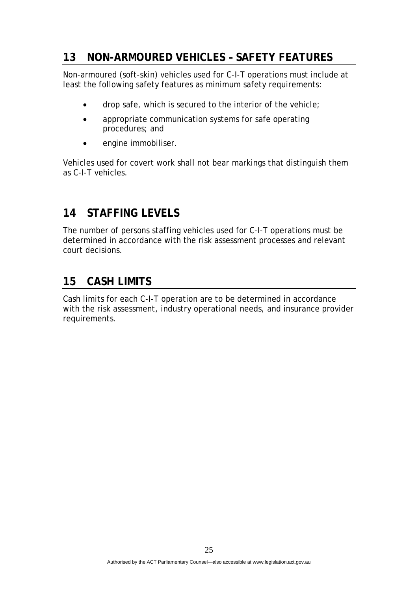### **13 NON-ARMOURED VEHICLES – SAFETY FEATURES**

Non-armoured (soft-skin) vehicles used for C-I-T operations must include at least the following safety features as minimum safety requirements:

- drop safe, which is secured to the interior of the vehicle;
- appropriate communication systems for safe operating procedures; and
- engine immobiliser.

Vehicles used for covert work shall not bear markings that distinguish them as C-I-T vehicles.

### **14 STAFFING LEVELS**

The number of persons staffing vehicles used for C-I-T operations must be determined in accordance with the risk assessment processes and relevant court decisions.

### **15 CASH LIMITS**

Cash limits for each C-I-T operation are to be determined in accordance with the risk assessment, industry operational needs, and insurance provider requirements.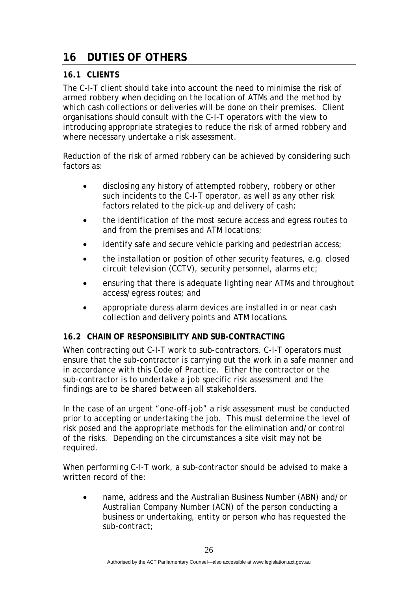# **16 DUTIES OF OTHERS**

### **16.1 CLIENTS**

The C-I-T client should take into account the need to minimise the risk of armed robbery when deciding on the location of ATMs and the method by which cash collections or deliveries will be done on their premises. Client organisations should consult with the C-I-T operators with the view to introducing appropriate strategies to reduce the risk of armed robbery and where necessary undertake a risk assessment.

Reduction of the risk of armed robbery can be achieved by considering such factors as:

- disclosing any history of attempted robbery, robbery or other such incidents to the C-I-T operator, as well as any other risk factors related to the pick-up and delivery of cash;
- the identification of the most secure access and egress routes to and from the premises and ATM locations;
- identify safe and secure vehicle parking and pedestrian access;
- the installation or position of other security features, e.g. closed circuit television (CCTV), security personnel, alarms etc;
- ensuring that there is adequate lighting near ATMs and throughout access/egress routes; and
- appropriate duress alarm devices are installed in or near cash collection and delivery points and ATM locations.

### **16.2 CHAIN OF RESPONSIBILITY AND SUB-CONTRACTING**

When contracting out C-I-T work to sub-contractors, C-I-T operators must ensure that the sub-contractor is carrying out the work in a safe manner and in accordance with this Code of Practice. Either the contractor or the sub-contractor is to undertake a job specific risk assessment and the findings are to be shared between all stakeholders.

In the case of an urgent "one-off-job" a risk assessment must be conducted prior to accepting or undertaking the job. This must determine the level of risk posed and the appropriate methods for the elimination and/or control of the risks. Depending on the circumstances a site visit may not be required.

When performing C-I-T work, a sub-contractor should be advised to make a written record of the:

• name, address and the Australian Business Number (ABN) and/or Australian Company Number (ACN) of the person conducting a business or undertaking, entity or person who has requested the sub-contract;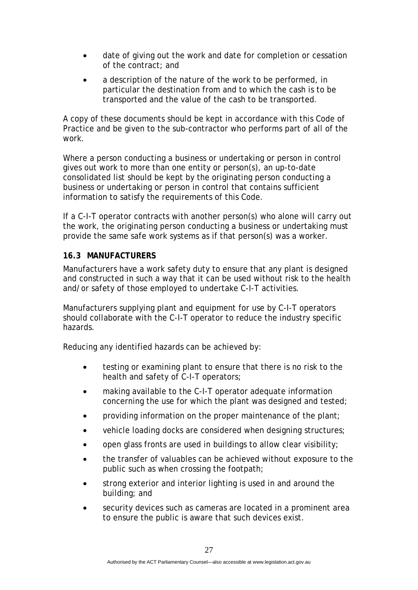- date of giving out the work and date for completion or cessation of the contract; and
- a description of the nature of the work to be performed, in particular the destination from and to which the cash is to be transported and the value of the cash to be transported.

A copy of these documents should be kept in accordance with this Code of Practice and be given to the sub-contractor who performs part of all of the work.

Where a person conducting a business or undertaking or person in control gives out work to more than one entity or person(s), an up-to-date consolidated list should be kept by the originating person conducting a business or undertaking or person in control that contains sufficient information to satisfy the requirements of this Code.

If a C-I-T operator contracts with another person(s) who alone will carry out the work, the originating person conducting a business or undertaking must provide the same safe work systems as if that person(s) was a worker.

### **16.3 MANUFACTURERS**

Manufacturers have a work safety duty to ensure that any plant is designed and constructed in such a way that it can be used without risk to the health and/or safety of those employed to undertake C-I-T activities.

Manufacturers supplying plant and equipment for use by C-I-T operators should collaborate with the C-I-T operator to reduce the industry specific hazards.

Reducing any identified hazards can be achieved by:

- testing or examining plant to ensure that there is no risk to the health and safety of C-I-T operators;
- making available to the C-I-T operator adequate information concerning the use for which the plant was designed and tested;
- providing information on the proper maintenance of the plant;
- vehicle loading docks are considered when designing structures;
- open glass fronts are used in buildings to allow clear visibility;
- the transfer of valuables can be achieved without exposure to the public such as when crossing the footpath;
- strong exterior and interior lighting is used in and around the building; and
- security devices such as cameras are located in a prominent area to ensure the public is aware that such devices exist.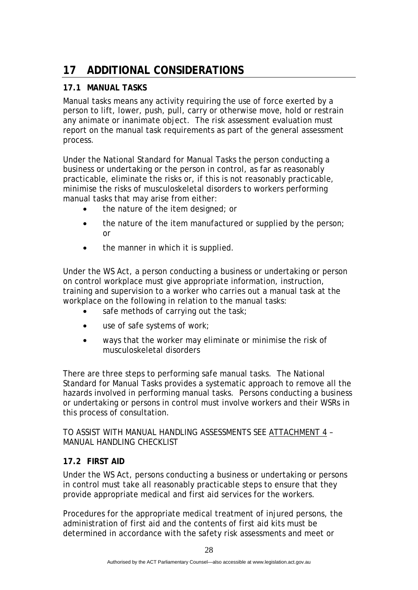# **17 ADDITIONAL CONSIDERATIONS**

### **17.1 MANUAL TASKS**

Manual tasks means any activity requiring the use of force exerted by a person to lift, lower, push, pull, carry or otherwise move, hold or restrain any animate or inanimate object. The risk assessment evaluation must report on the manual task requirements as part of the general assessment process.

Under the National Standard for Manual Tasks the person conducting a business or undertaking or the person in control, as far as reasonably practicable, eliminate the risks or, if this is not reasonably practicable, minimise the risks of musculoskeletal disorders to workers performing manual tasks that may arise from either:

- the nature of the item designed; or
- the nature of the item manufactured or supplied by the person; or
- the manner in which it is supplied.

Under the WS Act, a person conducting a business or undertaking or person on control workplace must give appropriate information, instruction, training and supervision to a worker who carries out a manual task at the workplace on the following in relation to the manual tasks:

- safe methods of carrying out the task;
- use of safe systems of work;
- ways that the worker may eliminate or minimise the risk of musculoskeletal disorders

There are three steps to performing safe manual tasks. The National Standard for Manual Tasks provides a systematic approach to remove all the hazards involved in performing manual tasks. Persons conducting a business or undertaking or persons in control must involve workers and their WSRs in this process of consultation.

TO ASSIST WITH MANUAL HANDLING ASSESSMENTS SEE ATTACHMENT 4 – MANUAL HANDLING CHECKLIST

### **17.2 FIRST AID**

Under the WS Act, persons conducting a business or undertaking or persons in control must take all reasonably practicable steps to ensure that they provide appropriate medical and first aid services for the workers.

Procedures for the appropriate medical treatment of injured persons, the administration of first aid and the contents of first aid kits must be determined in accordance with the safety risk assessments and meet or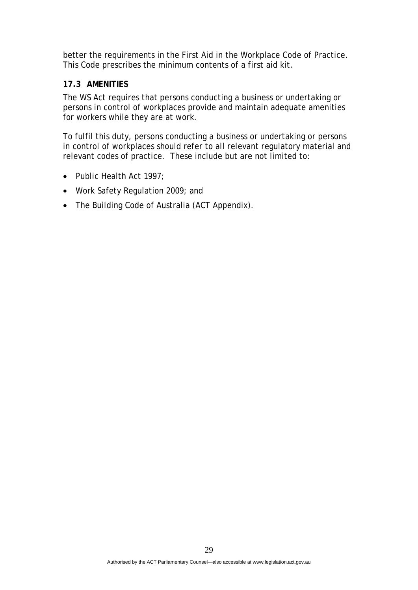better the requirements in the First Aid in the Workplace Code of Practice. This Code prescribes the minimum contents of a first aid kit.

### **17.3 AMENITIES**

The WS Act requires that persons conducting a business or undertaking or persons in control of workplaces provide and maintain adequate amenities for workers while they are at work.

To fulfil this duty, persons conducting a business or undertaking or persons in control of workplaces should refer to all relevant regulatory material and relevant codes of practice. These include but are not limited to:

- Public Health Act 1997;
- Work Safety Regulation 2009; and
- The Building Code of Australia (ACT Appendix).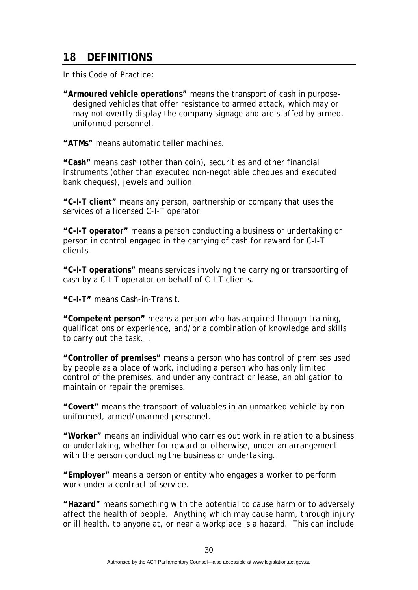### **18 DEFINITIONS**

In this Code of Practice:

**"Armoured vehicle operations"** means the transport of cash in purposedesigned vehicles that offer resistance to armed attack, which may or may not overtly display the company signage and are staffed by armed, uniformed personnel.

**"ATMs"** means automatic teller machines.

**"Cash"** means cash (other than coin), securities and other financial instruments (other than executed non-negotiable cheques and executed bank cheques), jewels and bullion.

**"C-I-T client"** means any person, partnership or company that uses the services of a licensed C-I-T operator.

**"C-I-T operator"** means a person conducting a business or undertaking or person in control engaged in the carrying of cash for reward for C-I-T clients.

**"C-I-T operations"** means services involving the carrying or transporting of cash by a C-I-T operator on behalf of C-I-T clients.

**"C-I-T"** means Cash-in-Transit.

**"Competent person"** means a person who has acquired through training, qualifications or experience, and/or a combination of knowledge and skills to carry out the task. .

**"Controller of premises"** means a person who has control of premises used by people as a place of work, including a person who has only limited control of the premises, and under any contract or lease, an obligation to maintain or repair the premises.

**"Covert"** means the transport of valuables in an unmarked vehicle by nonuniformed, armed/unarmed personnel.

**"Worker"** means an individual who carries out work in relation to a business or undertaking, whether for reward or otherwise, under an arrangement with the person conducting the business or undertaking..

**"Employer"** means a person or entity who engages a worker to perform work under a contract of service.

**"Hazard"** means something with the potential to cause harm or to adversely affect the health of people. Anything which may cause harm, through injury or ill health, to anyone at, or near a workplace is a hazard. This can include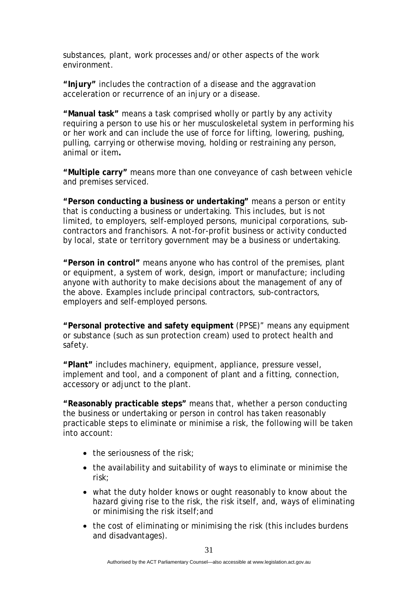substances, plant, work processes and/or other aspects of the work environment.

**"Injury"** includes the contraction of a disease and the aggravation acceleration or recurrence of an injury or a disease.

**"Manual task"** means a task comprised wholly or partly by any activity requiring a person to use his or her musculoskeletal system in performing his or her work and can include the use of force for lifting, lowering, pushing, pulling, carrying or otherwise moving, holding or restraining any person, animal or item**.** 

**"Multiple carry"** means more than one conveyance of cash between vehicle and premises serviced.

**"Person conducting a business or undertaking"** means a person or entity that is conducting a business or undertaking. This includes, but is not limited, to employers, self-employed persons, municipal corporations, subcontractors and franchisors. A not-for-profit business or activity conducted by local, state or territory government may be a business or undertaking.

**"Person in control"** means anyone who has control of the premises, plant or equipment, a system of work, design, import or manufacture; including anyone with authority to make decisions about the management of any of the above. Examples include principal contractors, sub-contractors, employers and self-employed persons.

**"Personal protective and safety equipment** (PPSE)" means any equipment or substance (such as sun protection cream) used to protect health and safety.

**"Plant"** includes machinery, equipment, appliance, pressure vessel, implement and tool, and a component of plant and a fitting, connection, accessory or adjunct to the plant.

**"Reasonably practicable steps"** means that, whether a person conducting the business or undertaking or person in control has taken reasonably practicable steps to eliminate or minimise a risk, the following will be taken into account:

- the seriousness of the risk;
- the availability and suitability of ways to eliminate or minimise the risk;
- what the duty holder knows or ought reasonably to know about the hazard giving rise to the risk, the risk itself, and, ways of eliminating or minimising the risk itself;and
- the cost of eliminating or minimising the risk (this includes burdens and disadvantages).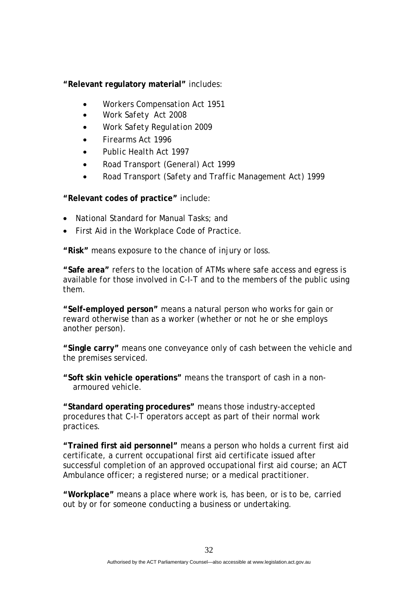**"Relevant regulatory material"** includes:

- *Workers Compensation Act 1951*
- *Work Safety Act 2008*
- *Work Safety Regulation 2009*
- *Firearms Act 1996*
- *Public Health Act 1997*
- *Road Transport (General) Act 1999*
- *Road Transport (Safety and Traffic Management Act) 1999*

**"Relevant codes of practice"** include:

- National Standard for Manual Tasks; and
- First Aid in the Workplace Code of Practice.

**"Risk"** means exposure to the chance of injury or loss.

**"Safe area"** refers to the location of ATMs where safe access and egress is available for those involved in C-I-T and to the members of the public using them.

**"Self-employed person"** means a natural person who works for gain or reward otherwise than as a worker (whether or not he or she employs another person).

**"Single carry"** means one conveyance only of cash between the vehicle and the premises serviced.

**"Soft skin vehicle operations"** means the transport of cash in a nonarmoured vehicle.

**"Standard operating procedures"** means those industry-accepted procedures that C-I-T operators accept as part of their normal work practices.

**"Trained first aid personnel"** means a person who holds a current first aid certificate, a current occupational first aid certificate issued after successful completion of an approved occupational first aid course; an ACT Ambulance officer; a registered nurse; or a medical practitioner.

**"Workplace"** means a place where work is, has been, or is to be, carried out by or for someone conducting a business or undertaking.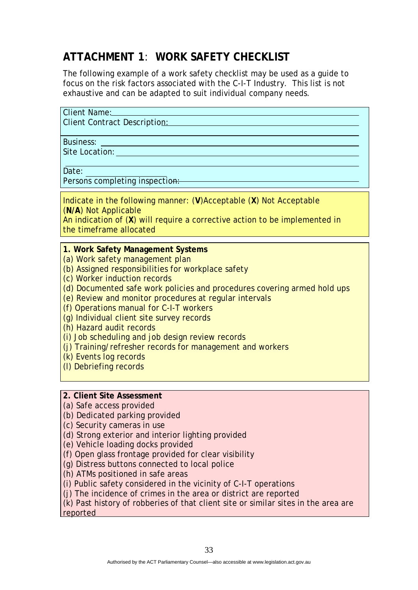# **ATTACHMENT 1**: **WORK SAFETY CHECKLIST**

The following example of a work safety checklist may be used as a guide to focus on the risk factors associated with the C-I-T Industry. This list is not exhaustive and can be adapted to suit individual company needs.

| Client Name:            |  |
|-------------------------|--|
| Cliant Contract Docorin |  |

Client Contract Description:

Business: Site Location:

Date:

Persons completing inspection:

Indicate in the following manner: (**V**)Acceptable (**X**) Not Acceptable (**N/A**) Not Applicable

An indication of (**X**) will require a corrective action to be implemented in the timeframe allocated

**1. Work Safety Management Systems** 

(a) Work safety management plan

(b) Assigned responsibilities for workplace safety

(c) Worker induction records

(d) Documented safe work policies and procedures covering armed hold ups

(e) Review and monitor procedures at regular intervals

(f) Operations manual for C-I-T workers

(g) Individual client site survey records

(h) Hazard audit records

(i) Job scheduling and job design review records

(j) Training/refresher records for management and workers

(k) Events log records

(l) Debriefing records

### **2. Client Site Assessment**

(a) Safe access provided

(b) Dedicated parking provided

(c) Security cameras in use

(d) Strong exterior and interior lighting provided

(e) Vehicle loading docks provided

(f) Open glass frontage provided for clear visibility

(g) Distress buttons connected to local police

(h) ATMs positioned in safe areas

(i) Public safety considered in the vicinity of C-I-T operations

(j) The incidence of crimes in the area or district are reported

(k) Past history of robberies of that client site or similar sites in the area are reported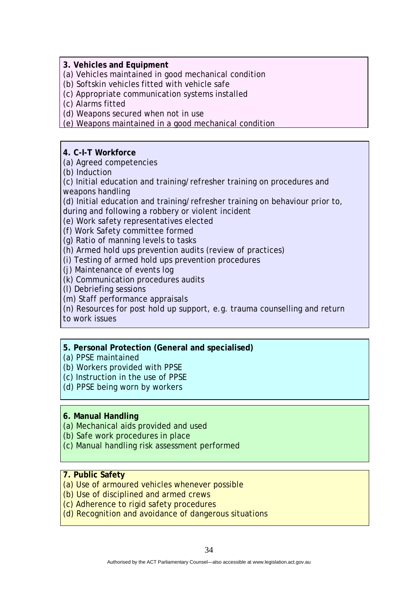**3. Vehicles and Equipment** 

(a) Vehicles maintained in good mechanical condition

(b) Softskin vehicles fitted with vehicle safe

(c) Appropriate communication systems installed

(c) Alarms fitted

(d) Weapons secured when not in use

(e) Weapons maintained in a good mechanical condition

**4. C-I-T Workforce** 

(a) Agreed competencies

(b) Induction

(c) Initial education and training/refresher training on procedures and weapons handling

(d) Initial education and training/refresher training on behaviour prior to,

during and following a robbery or violent incident

(e) Work safety representatives elected

(f) Work Safety committee formed

(g) Ratio of manning levels to tasks

(h) Armed hold ups prevention audits (review of practices)

(i) Testing of armed hold ups prevention procedures

(j) Maintenance of events log

(k) Communication procedures audits

(l) Debriefing sessions

(m) Staff performance appraisals

(n) Resources for post hold up support, e.g. trauma counselling and return

to work issues

### **5. Personal Protection (General and specialised)**

(a) PPSE maintained

(b) Workers provided with PPSE

(c) Instruction in the use of PPSE

(d) PPSE being worn by workers

### **6. Manual Handling**

(a) Mechanical aids provided and used

(b) Safe work procedures in place

(c) Manual handling risk assessment performed

#### **7. Public Safety**

(a) Use of armoured vehicles whenever possible

(b) Use of disciplined and armed crews

(c) Adherence to rigid safety procedures

(d) Recognition and avoidance of dangerous situations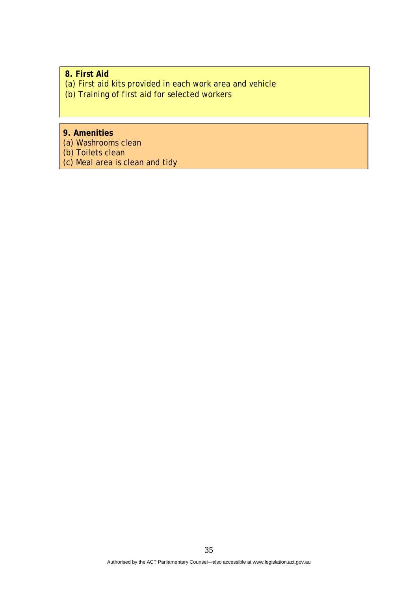**8. First Aid**  (a) First aid kits provided in each work area and vehicle (b) Training of first aid for selected workers

**9. Amenities**  (a) Washrooms clean (b) Toilets clean (c) Meal area is clean and tidy

Authorised by the ACT Parliamentary Counsel—also accessible at www.legislation.act.gov.au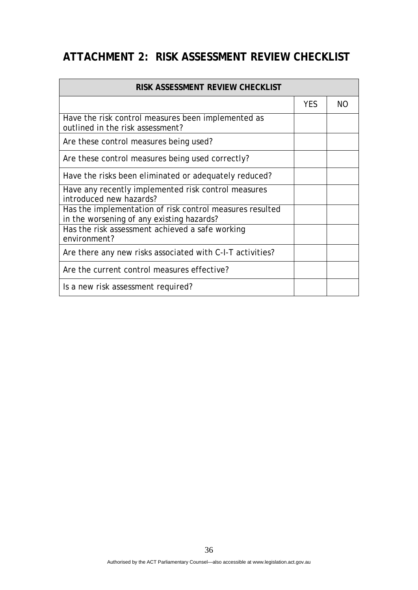# **ATTACHMENT 2: RISK ASSESSMENT REVIEW CHECKLIST**

| RISK ASSESSMENT REVIEW CHECKLIST                                                                      |            |           |  |
|-------------------------------------------------------------------------------------------------------|------------|-----------|--|
|                                                                                                       | <b>YES</b> | <b>NO</b> |  |
| Have the risk control measures been implemented as<br>outlined in the risk assessment?                |            |           |  |
| Are these control measures being used?                                                                |            |           |  |
| Are these control measures being used correctly?                                                      |            |           |  |
| Have the risks been eliminated or adequately reduced?                                                 |            |           |  |
| Have any recently implemented risk control measures<br>introduced new hazards?                        |            |           |  |
| Has the implementation of risk control measures resulted<br>in the worsening of any existing hazards? |            |           |  |
| Has the risk assessment achieved a safe working<br>environment?                                       |            |           |  |
| Are there any new risks associated with C-I-T activities?                                             |            |           |  |
| Are the current control measures effective?                                                           |            |           |  |
| Is a new risk assessment required?                                                                    |            |           |  |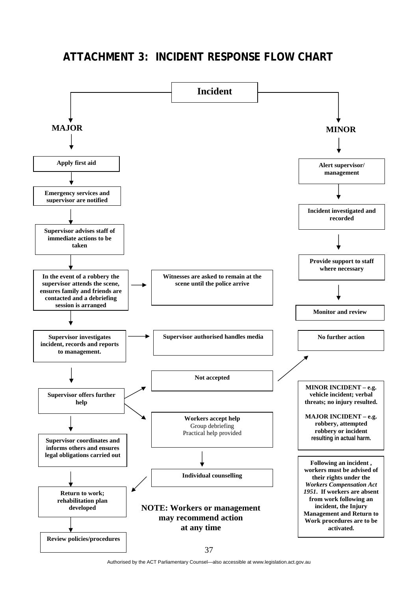### **ATTACHMENT 3: INCIDENT RESPONSE FLOW CHART**



Authorised by the ACT Parliamentary Counsel—also accessible at www.legislation.act.gov.au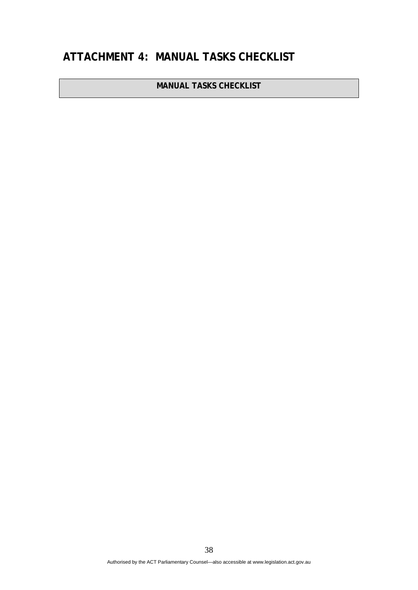# **ATTACHMENT 4: MANUAL TASKS CHECKLIST**

**MANUAL TASKS CHECKLIST**